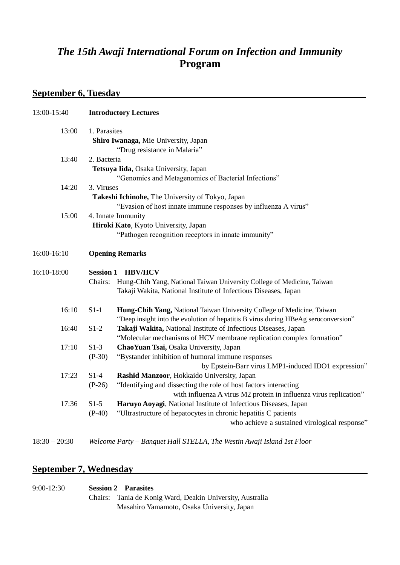### *The 15th Awaji International Forum on Infection and Immunity* **Program**

#### **September 6, Tuesday**

| 13:00-15:40     | <b>Introductory Lectures</b>                                   |                                                                                    |  |  |
|-----------------|----------------------------------------------------------------|------------------------------------------------------------------------------------|--|--|
| 13:00           | 1. Parasites<br>Shiro Iwanaga, Mie University, Japan           |                                                                                    |  |  |
|                 |                                                                | "Drug resistance in Malaria"                                                       |  |  |
| 13:40           | 2. Bacteria                                                    |                                                                                    |  |  |
|                 |                                                                | Tetsuya Iida, Osaka University, Japan                                              |  |  |
| 14:20           | "Genomics and Metagenomics of Bacterial Infections"            |                                                                                    |  |  |
|                 | 3. Viruses<br>Takeshi Ichinohe, The University of Tokyo, Japan |                                                                                    |  |  |
|                 |                                                                | "Evasion of host innate immune responses by influenza A virus"                     |  |  |
| 15:00           |                                                                |                                                                                    |  |  |
|                 | 4. Innate Immunity<br>Hiroki Kato, Kyoto University, Japan     |                                                                                    |  |  |
|                 |                                                                | "Pathogen recognition receptors in innate immunity"                                |  |  |
| 16:00-16:10     |                                                                | <b>Opening Remarks</b>                                                             |  |  |
| 16:10-18:00     | <b>Session 1</b><br><b>HBV/HCV</b>                             |                                                                                    |  |  |
|                 | Chairs:                                                        | Hung-Chih Yang, National Taiwan University College of Medicine, Taiwan             |  |  |
|                 |                                                                | Takaji Wakita, National Institute of Infectious Diseases, Japan                    |  |  |
| 16:10           | $S1-1$                                                         | Hung-Chih Yang, National Taiwan University College of Medicine, Taiwan             |  |  |
|                 |                                                                | "Deep insight into the evolution of hepatitis B virus during HBeAg seroconversion" |  |  |
| 16:40           | $S1-2$                                                         | Takaji Wakita, National Institute of Infectious Diseases, Japan                    |  |  |
|                 |                                                                | "Molecular mechanisms of HCV membrane replication complex formation"               |  |  |
| 17:10           | $S1-3$                                                         | ChaoYuan Tsai, Osaka University, Japan                                             |  |  |
|                 | $(P-30)$                                                       | "Bystander inhibition of humoral immune responses                                  |  |  |
|                 |                                                                | by Epstein-Barr virus LMP1-induced IDO1 expression"                                |  |  |
| 17:23           | $S1-4$                                                         | Rashid Manzoor, Hokkaido University, Japan                                         |  |  |
|                 | $(P-26)$                                                       | "Identifying and dissecting the role of host factors interacting                   |  |  |
|                 |                                                                | with influenza A virus M2 protein in influenza virus replication"                  |  |  |
| 17:36           | $S1-5$                                                         | Haruyo Aoyagi, National Institute of Infectious Diseases, Japan                    |  |  |
|                 | $(P-40)$                                                       | "Ultrastructure of hepatocytes in chronic hepatitis C patients                     |  |  |
|                 |                                                                | who achieve a sustained virological response"                                      |  |  |
| $18:30 - 20:30$ |                                                                | Welcome Party – Banquet Hall STELLA, The Westin Awaji Island 1st Floor             |  |  |

#### **September 7, Wednesday**

| $9:00-12:30$ | <b>Session 2 Parasites</b>                                |  |
|--------------|-----------------------------------------------------------|--|
|              | Chairs: Tania de Konig Ward, Deakin University, Australia |  |
|              | Masahiro Yamamoto, Osaka University, Japan                |  |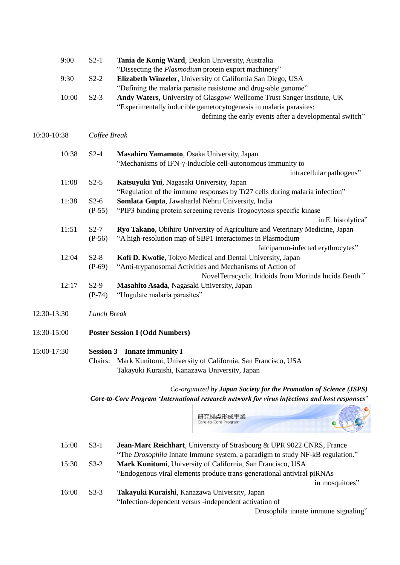| 9:00        | $S2-1$                                                                                                                                                        |                                                                            | Tania de Konig Ward, Deakin University, Australia<br>"Dissecting the <i>Plasmodium</i> protein export machinery"                                                                                                                                                          |  |
|-------------|---------------------------------------------------------------------------------------------------------------------------------------------------------------|----------------------------------------------------------------------------|---------------------------------------------------------------------------------------------------------------------------------------------------------------------------------------------------------------------------------------------------------------------------|--|
| 9:30        | $S2-2$                                                                                                                                                        |                                                                            | Elizabeth Winzeler, University of California San Diego, USA                                                                                                                                                                                                               |  |
| 10:00       | $S2-3$                                                                                                                                                        |                                                                            | "Defining the malaria parasite resistome and drug-able genome"<br>Andy Waters, University of Glasgow/ Wellcome Trust Sanger Institute, UK<br>"Experimentally inducible gametocytogenesis in malaria parasites:<br>defining the early events after a developmental switch" |  |
| 10:30-10:38 | Coffee Break                                                                                                                                                  |                                                                            |                                                                                                                                                                                                                                                                           |  |
| 10:38       | $S2-4$                                                                                                                                                        | Masahiro Yamamoto, Osaka University, Japan                                 | "Mechanisms of IFN-γ-inducible cell-autonomous immunity to<br>intracellular pathogens"                                                                                                                                                                                    |  |
| 11:08       | $S2-5$                                                                                                                                                        | Katsuyuki Yui, Nagasaki University, Japan                                  |                                                                                                                                                                                                                                                                           |  |
| 11:38       | $S2-6$<br>$(P-55)$                                                                                                                                            |                                                                            | "Regulation of the immune responses by Tr27 cells during malaria infection"<br>Somlata Gupta, Jawaharlal Nehru University, India<br>"PIP3 binding protein screening reveals Trogocytosis specific kinase                                                                  |  |
|             |                                                                                                                                                               |                                                                            | in E. histolytica"                                                                                                                                                                                                                                                        |  |
| 11:51       | $S2-7$<br>$(P-56)$                                                                                                                                            |                                                                            | Ryo Takano, Obihiro University of Agriculture and Veterinary Medicine, Japan<br>"A high-resolution map of SBP1 interactomes in Plasmodium<br>falciparum-infected erythrocytes"                                                                                            |  |
| 12:04       | $S2-8$<br>$(P-69)$                                                                                                                                            |                                                                            | Kofi D. Kwofie, Tokyo Medical and Dental University, Japan<br>"Anti-trypanosomal Activities and Mechanisms of Action of                                                                                                                                                   |  |
| 12:17       | $S2-9$<br>$(P-74)$                                                                                                                                            | Masahito Asada, Nagasaki University, Japan<br>"Ungulate malaria parasites" | NovelTetracyclic Iridoids from Morinda lucida Benth."                                                                                                                                                                                                                     |  |
| 12:30-13:30 | Lunch Break                                                                                                                                                   |                                                                            |                                                                                                                                                                                                                                                                           |  |
| 13:30-15:00 |                                                                                                                                                               | <b>Poster Session I (Odd Numbers)</b>                                      |                                                                                                                                                                                                                                                                           |  |
| 15:00-17:30 | <b>Session 3</b> Innate immunity I<br>Mark Kunitomi, University of California, San Francisco, USA<br>Chairs:<br>Takayuki Kuraishi, Kanazawa University, Japan |                                                                            |                                                                                                                                                                                                                                                                           |  |
|             |                                                                                                                                                               |                                                                            | Co-organized by Japan Society for the Promotion of Science (JSPS)<br>Core-to-Core Program 'International research network for virus infections and host responses'                                                                                                        |  |
|             |                                                                                                                                                               |                                                                            | 研究拠点形成事業<br>Core-to-Core Program                                                                                                                                                                                                                                          |  |
| 15:00       | $S3-1$                                                                                                                                                        |                                                                            | Jean-Marc Reichhart, University of Strasbourg & UPR 9022 CNRS, France                                                                                                                                                                                                     |  |
| 15:30       | $S3-2$                                                                                                                                                        |                                                                            | "The Drosophila Innate Immune system, a paradigm to study NF-kB regulation."<br>Mark Kunitomi, University of California, San Francisco, USA<br>"Endogenous viral elements produce trans-generational antiviral piRNAs                                                     |  |
| 16:00       | $S3-3$                                                                                                                                                        | Takayuki Kuraishi, Kanazawa University, Japan                              | in mosquitoes"<br>"Infection-dependent versus -independent activation of<br>Drosophila innate immune signaling"                                                                                                                                                           |  |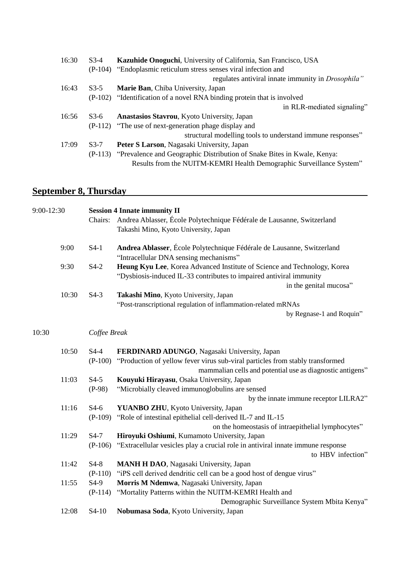| 16:30 | $S3-4$    | Kazuhide Onoguchi, University of California, San Francisco, USA         |
|-------|-----------|-------------------------------------------------------------------------|
|       | $(P-104)$ | "Endoplasmic reticulum stress senses viral infection and                |
|       |           | regulates antiviral innate immunity in Drosophila"                      |
| 16:43 | $S3-5$    | Marie Ban, Chiba University, Japan                                      |
|       |           | (P-102) "Identification of a novel RNA binding protein that is involved |
|       |           | in RLR-mediated signaling"                                              |
| 16:56 | $S3-6$    | Anastasios Stavrou, Kyoto University, Japan                             |
|       |           | (P-112) "The use of next-generation phage display and                   |
|       |           | structural modelling tools to understand immune responses"              |
| 17:09 | $S3-7$    | Peter S Larson, Nagasaki University, Japan                              |
|       | $(P-113)$ | "Prevalence and Geographic Distribution of Snake Bites in Kwale, Kenya: |
|       |           | Results from the NUITM-KEMRI Health Demographic Surveillance System"    |
|       |           |                                                                         |

# **September 8, Thursday**

| 9:00-12:30 |       | <b>Session 4 Innate immunity II</b> |                                                                                 |  |
|------------|-------|-------------------------------------|---------------------------------------------------------------------------------|--|
|            |       | Chairs:                             | Andrea Ablasser, École Polytechnique Fédérale de Lausanne, Switzerland          |  |
|            |       |                                     | Takashi Mino, Kyoto University, Japan                                           |  |
|            | 9:00  | $S4-1$                              | Andrea Ablasser, École Polytechnique Fédérale de Lausanne, Switzerland          |  |
|            |       |                                     | "Intracellular DNA sensing mechanisms"                                          |  |
|            | 9:30  | $S4-2$                              | Heung Kyu Lee, Korea Advanced Institute of Science and Technology, Korea        |  |
|            |       |                                     | "Dysbiosis-induced IL-33 contributes to impaired antiviral immunity             |  |
|            |       |                                     | in the genital mucosa"                                                          |  |
|            | 10:30 | $S4-3$                              | Takashi Mino, Kyoto University, Japan                                           |  |
|            |       |                                     | "Post-transcriptional regulation of inflammation-related mRNAs                  |  |
|            |       |                                     | by Regnase-1 and Roquin"                                                        |  |
| 10:30      |       | Coffee Break                        |                                                                                 |  |
|            | 10:50 | $S4-4$                              | FERDINARD ADUNGO, Nagasaki University, Japan                                    |  |
|            |       | $(P-100)$                           | "Production of yellow fever virus sub-viral particles from stably transformed   |  |
|            |       |                                     | mammalian cells and potential use as diagnostic antigens"                       |  |
|            | 11:03 | $S4-5$                              | Kouyuki Hirayasu, Osaka University, Japan                                       |  |
|            |       | $(P-98)$                            | "Microbially cleaved immunoglobulins are sensed                                 |  |
|            |       |                                     | by the innate immune receptor LILRA2"                                           |  |
|            | 11:16 | $S4-6$                              | YUANBO ZHU, Kyoto University, Japan                                             |  |
|            |       | $(P-109)$                           | "Role of intestinal epithelial cell-derived IL-7 and IL-15                      |  |
|            |       |                                     | on the homeostasis of intraepithelial lymphocytes"                              |  |
|            | 11:29 | S4-7                                | Hiroyuki Oshiumi, Kumamoto University, Japan                                    |  |
|            |       | $(P-106)$                           | "Extracellular vesicles play a crucial role in antiviral innate immune response |  |
|            |       |                                     | to HBV infection"                                                               |  |
|            | 11:42 | $S4-8$                              | MANH H DAO, Nagasaki University, Japan                                          |  |
|            |       | $(P-110)$                           | "iPS cell derived dendritic cell can be a good host of dengue virus"            |  |
|            | 11:55 | $S4-9$                              | Morris M Ndemwa, Nagasaki University, Japan                                     |  |
|            |       | $(P-114)$                           | "Mortality Patterns within the NUITM-KEMRI Health and                           |  |
|            |       |                                     | Demographic Surveillance System Mbita Kenya"                                    |  |
|            | 12:08 | $S4-10$                             | Nobumasa Soda, Kyoto University, Japan                                          |  |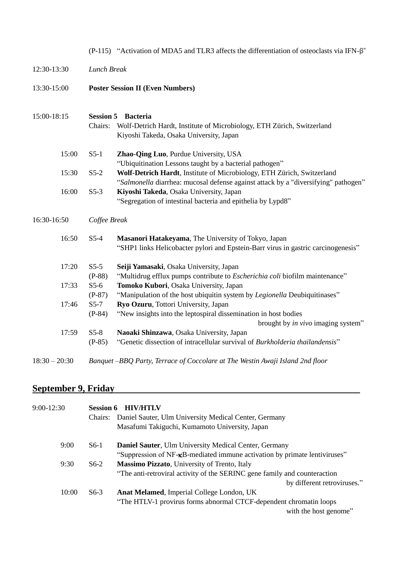|                 |                                         | (P-115) "Activation of MDA5 and TLR3 affects the differentiation of osteoclasts via IFN- $\beta$ "                                                                                                                      |  |
|-----------------|-----------------------------------------|-------------------------------------------------------------------------------------------------------------------------------------------------------------------------------------------------------------------------|--|
| 12:30-13:30     | Lunch Break                             |                                                                                                                                                                                                                         |  |
| 13:30-15:00     | <b>Poster Session II (Even Numbers)</b> |                                                                                                                                                                                                                         |  |
| 15:00-18:15     | <b>Session 5</b><br>Chairs:             | <b>Bacteria</b><br>Wolf-Detrich Hardt, Institute of Microbiology, ETH Zürich, Switzerland<br>Kiyoshi Takeda, Osaka University, Japan                                                                                    |  |
| 15:00           | $S5-1$                                  | Zhao-Qing Luo, Purdue University, USA                                                                                                                                                                                   |  |
| 15:30           | $S5-2$                                  | "Ubiquitination Lessons taught by a bacterial pathogen"<br>Wolf-Detrich Hardt, Institute of Microbiology, ETH Zürich, Switzerland<br>"Salmonella diarrhea: mucosal defense against attack by a "diversifying" pathogen" |  |
| 16:00           | $S5-3$                                  | Kiyoshi Takeda, Osaka University, Japan<br>"Segregation of intestinal bacteria and epithelia by Lypd8"                                                                                                                  |  |
| 16:30-16:50     | Coffee Break                            |                                                                                                                                                                                                                         |  |
| 16:50           | $S5-4$                                  | Masanori Hatakeyama, The University of Tokyo, Japan<br>"SHP1 links Helicobacter pylori and Epstein-Barr virus in gastric carcinogenesis"                                                                                |  |
| 17:20           | $S5-5$<br>$(P-88)$                      | Seiji Yamasaki, Osaka University, Japan<br>"Multidrug efflux pumps contribute to <i>Escherichia coli</i> biofilm maintenance"                                                                                           |  |
| 17:33           | $S5-6$<br>$(P-87)$                      | Tomoko Kubori, Osaka University, Japan<br>"Manipulation of the host ubiquitin system by Legionella Deubiquitinases"                                                                                                     |  |
| 17:46           | $S5-7$<br>$(P-84)$                      | Ryo Ozuru, Tottori University, Japan<br>"New insights into the leptospiral dissemination in host bodies<br>brought by in vivo imaging system"                                                                           |  |
| 17:59           | $S5-8$<br>$(P-85)$                      | Naoaki Shinzawa, Osaka University, Japan<br>"Genetic dissection of intracellular survival of Burkholderia thailandensis"                                                                                                |  |
| $18:30 - 20:30$ |                                         | Banquet-BBQ Party, Terrace of Coccolare at The Westin Awaji Island 2nd floor                                                                                                                                            |  |

## **September 9, Friday**

| $9:00-12:30$ | <b>Session 6</b><br><b>HIV/HTLV</b>                              |                                                                           |  |  |
|--------------|------------------------------------------------------------------|---------------------------------------------------------------------------|--|--|
|              | Daniel Sauter, Ulm University Medical Center, Germany<br>Chairs: |                                                                           |  |  |
|              |                                                                  | Masafumi Takiguchi, Kumamoto University, Japan                            |  |  |
| 9:00         | $S6-1$                                                           | <b>Daniel Sauter</b> , Ulm University Medical Center, Germany             |  |  |
|              |                                                                  | "Suppression of NF-KB-mediated immune activation by primate lentiviruses" |  |  |
| 9:30         | $S6-2$                                                           | <b>Massimo Pizzato</b> , University of Trento, Italy                      |  |  |
|              |                                                                  | "The anti-retroviral activity of the SERINC gene family and counteraction |  |  |
|              |                                                                  | by different retroviruses."                                               |  |  |
| 10:00        | $S6-3$                                                           | <b>Anat Melamed, Imperial College London, UK</b>                          |  |  |
|              |                                                                  | "The HTLV-1 provirus forms abnormal CTCF-dependent chromatin loops        |  |  |
|              |                                                                  | with the host genome"                                                     |  |  |